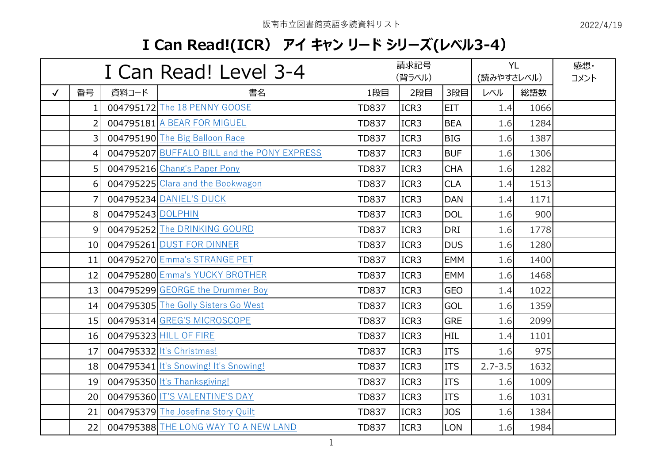## **I Can Read!(ICR) アイ キャン リード シリーズ(レベル3-4)**

| I Can Read! Level 3-4 |                |                   | 請求記号<br>(背ラベル)                              |              |                  | <b>YL</b><br>(読みやすさレベル) |             | 感想·<br>コメント |  |
|-----------------------|----------------|-------------------|---------------------------------------------|--------------|------------------|-------------------------|-------------|-------------|--|
| $\checkmark$          | 番号             | 資料コード             | 書名                                          | 1段目          | 2段目              | 3段目                     | レベル         | 総語数         |  |
|                       | 1              |                   | 004795172 The 18 PENNY GOOSE                | <b>TD837</b> | ICR3             | <b>EIT</b>              | 1.4         | 1066        |  |
|                       | 2              |                   | 004795181 A BEAR FOR MIGUEL                 | <b>TD837</b> | ICR3             | <b>BEA</b>              | 1.6         | 1284        |  |
|                       | $\overline{3}$ |                   | 004795190 The Big Balloon Race              | <b>TD837</b> | ICR3             | <b>BIG</b>              | 1.6         | 1387        |  |
|                       | 4              |                   | 004795207 BUFFALO BILL and the PONY EXPRESS | <b>TD837</b> | ICR3             | <b>BUF</b>              | 1.6         | 1306        |  |
|                       | 5              |                   | 004795216 Chang's Paper Pony                | <b>TD837</b> | ICR3             | <b>CHA</b>              | 1.6         | 1282        |  |
|                       | 6              |                   | 004795225 Clara and the Bookwagon           | TD837        | ICR <sub>3</sub> | <b>CLA</b>              | 1.4         | 1513        |  |
|                       | 7              |                   | 004795234 DANIEL'S DUCK                     | <b>TD837</b> | ICR3             | DAN                     | 1.4         | 1171        |  |
|                       | 8              | 004795243 DOLPHIN |                                             | <b>TD837</b> | ICR3             | <b>DOL</b>              | 1.6         | 900         |  |
|                       | 9              |                   | 004795252 The DRINKING GOURD                | <b>TD837</b> | ICR3             | <b>DRI</b>              | 1.6         | 1778        |  |
|                       | 10             |                   | 004795261 DUST FOR DINNER                   | <b>TD837</b> | ICR3             | <b>DUS</b>              | 1.6         | 1280        |  |
|                       | 11             |                   | 004795270 Emma's STRANGE PET                | <b>TD837</b> | ICR3             | <b>EMM</b>              | 1.6         | 1400        |  |
|                       | 12             |                   | 004795280 Emma's YUCKY BROTHER              | <b>TD837</b> | ICR3             | <b>EMM</b>              | 1.6         | 1468        |  |
|                       | 13             |                   | 004795299 GEORGE the Drummer Boy            | <b>TD837</b> | ICR3             | <b>GEO</b>              | 1.4         | 1022        |  |
|                       | 14             |                   | 004795305 The Golly Sisters Go West         | <b>TD837</b> | ICR3             | <b>GOL</b>              | 1.6         | 1359        |  |
|                       | 15             |                   | 004795314 GREG'S MICROSCOPE                 | <b>TD837</b> | ICR <sub>3</sub> | <b>GRE</b>              | 1.6         | 2099        |  |
|                       | 16             |                   | 004795323 HILL OF FIRE                      | TD837        | ICR3             | <b>HIL</b>              | 1.4         | 1101        |  |
|                       | 17             |                   | 004795332 It's Christmas!                   | <b>TD837</b> | ICR <sub>3</sub> | <b>ITS</b>              | 1.6         | 975         |  |
|                       | 18             |                   | 004795341 It's Snowing! It's Snowing!       | TD837        | ICR3             | <b>ITS</b>              | $2.7 - 3.5$ | 1632        |  |
|                       | 19             |                   | 004795350 It's Thanksgiving!                | <b>TD837</b> | ICR3             | <b>ITS</b>              | 1.6         | 1009        |  |
|                       | 20             |                   | 004795360 IT'S VALENTINE'S DAY              | <b>TD837</b> | ICR <sub>3</sub> | <b>ITS</b>              | 1.6         | 1031        |  |
|                       | 21             |                   | 004795379 The Josefina Story Quilt          | <b>TD837</b> | ICR3             | <b>JOS</b>              | 1.6         | 1384        |  |
|                       | 22             |                   | 004795388 THE LONG WAY TO A NEW LAND        | TD837        | ICR3             | LON                     | 1.6         | 1984        |  |